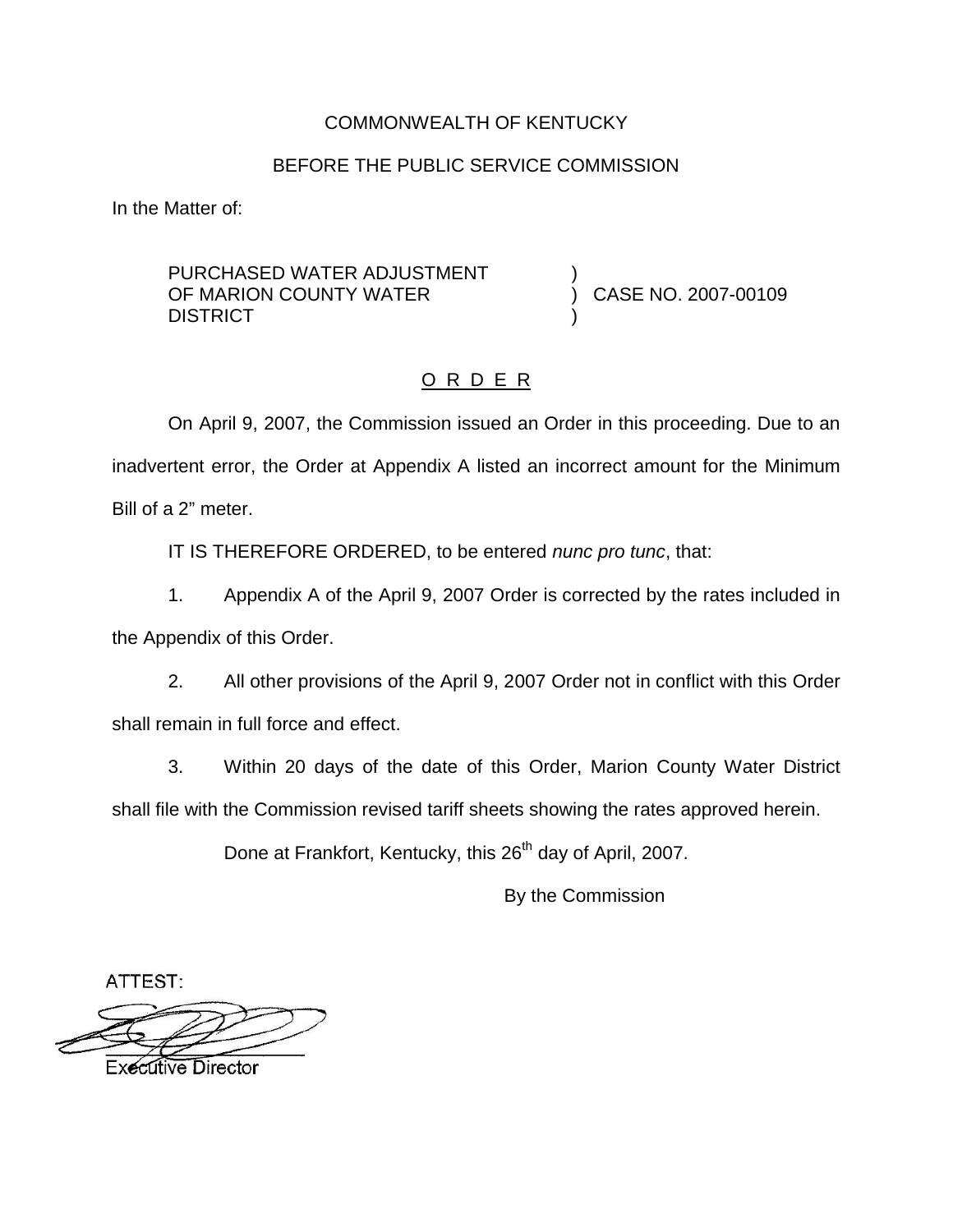## COMMONWEALTH OF KENTUCKY

### BEFORE THE PUBLIC SERVICE COMMISSION

In the Matter of:

#### PURCHASED WATER ADJUSTMENT OF MARION COUNTY WATER **DISTRICT**

) CASE NO. 2007-00109

)

)

## O R D E R

On April 9, 2007, the Commission issued an Order in this proceeding. Due to an inadvertent error, the Order at Appendix A listed an incorrect amount for the Minimum Bill of a 2" meter.

IT IS THEREFORE ORDERED, to be entered *nunc pro tunc*, that:

1. Appendix A of the April 9, 2007 Order is corrected by the rates included in the Appendix of this Order.

2. All other provisions of the April 9, 2007 Order not in conflict with this Order shall remain in full force and effect.

3. Within 20 days of the date of this Order, Marion County Water District shall file with the Commission revised tariff sheets showing the rates approved herein.

Done at Frankfort, Kentucky, this 26<sup>th</sup> day of April, 2007.

By the Commission

ATTEST:

**Executive Director**